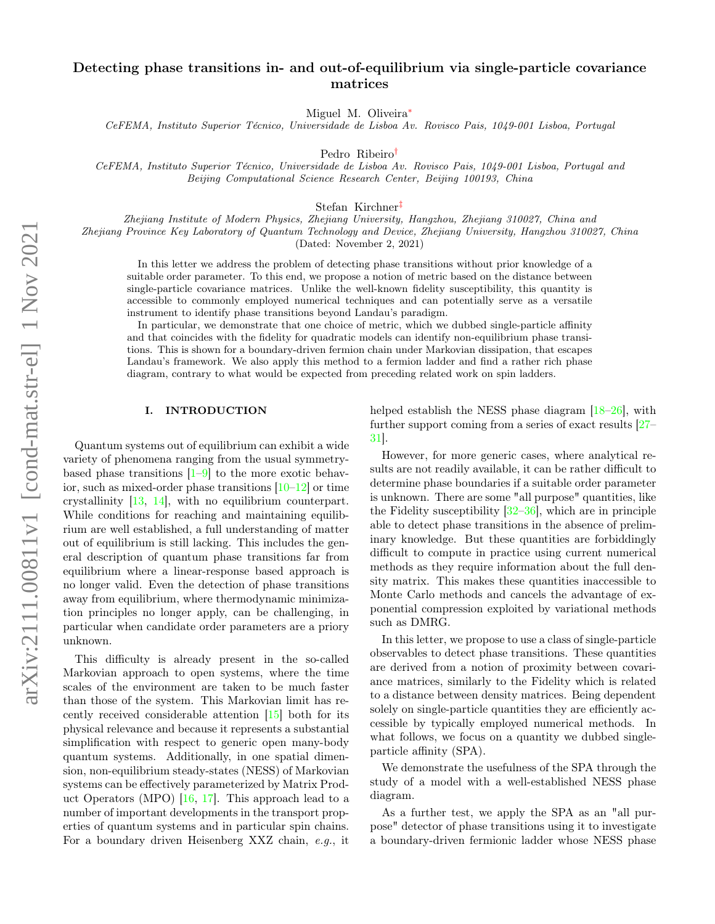# Detecting phase transitions in- and out-of-equilibrium via single-particle covariance matrices

Miguel M. Oliveira<sup>\*</sup>

CeFEMA, Instituto Superior Técnico, Universidade de Lisboa Av. Rovisco Pais, 1049-001 Lisboa, Portugal

Pedro Ribeiro[†](#page-4-1)

CeFEMA, Instituto Superior Técnico, Universidade de Lisboa Av. Rovisco Pais, 1049-001 Lisboa, Portugal and Beijing Computational Science Research Center, Beijing 100193, China

Stefan Kirchner[‡](#page-4-2)

Zhejiang Institute of Modern Physics, Zhejiang University, Hangzhou, Zhejiang 310027, China and Zhejiang Province Key Laboratory of Quantum Technology and Device, Zhejiang University, Hangzhou 310027, China (Dated: November 2, 2021)

In this letter we address the problem of detecting phase transitions without prior knowledge of a suitable order parameter. To this end, we propose a notion of metric based on the distance between single-particle covariance matrices. Unlike the well-known fidelity susceptibility, this quantity is accessible to commonly employed numerical techniques and can potentially serve as a versatile instrument to identify phase transitions beyond Landau's paradigm.

In particular, we demonstrate that one choice of metric, which we dubbed single-particle affinity and that coincides with the fidelity for quadratic models can identify non-equilibrium phase transitions. This is shown for a boundary-driven fermion chain under Markovian dissipation, that escapes Landau's framework. We also apply this method to a fermion ladder and find a rather rich phase diagram, contrary to what would be expected from preceding related work on spin ladders.

## I. INTRODUCTION

Quantum systems out of equilibrium can exhibit a wide variety of phenomena ranging from the usual symmetrybased phase transitions  $[1-9]$  $[1-9]$  to the more exotic behavior, such as mixed-order phase transitions  $[10-12]$  $[10-12]$  or time crystallinity [\[13,](#page-4-7) [14\]](#page-4-8), with no equilibrium counterpart. While conditions for reaching and maintaining equilibrium are well established, a full understanding of matter out of equilibrium is still lacking. This includes the general description of quantum phase transitions far from equilibrium where a linear-response based approach is no longer valid. Even the detection of phase transitions away from equilibrium, where thermodynamic minimization principles no longer apply, can be challenging, in particular when candidate order parameters are a priory unknown.

This difficulty is already present in the so-called Markovian approach to open systems, where the time scales of the environment are taken to be much faster than those of the system. This Markovian limit has recently received considerable attention [\[15\]](#page-4-9) both for its physical relevance and because it represents a substantial simplification with respect to generic open many-body quantum systems. Additionally, in one spatial dimension, non-equilibrium steady-states (NESS) of Markovian systems can be effectively parameterized by Matrix Product Operators (MPO) [\[16,](#page-4-10) [17\]](#page-4-11). This approach lead to a number of important developments in the transport properties of quantum systems and in particular spin chains. For a boundary driven Heisenberg XXZ chain, e.g., it

helped establish the NESS phase diagram [\[18](#page-4-12)[–26\]](#page-5-0), with further support coming from a series of exact results [\[27–](#page-5-1) [31\]](#page-5-2).

However, for more generic cases, where analytical results are not readily available, it can be rather difficult to determine phase boundaries if a suitable order parameter is unknown. There are some "all purpose" quantities, like the Fidelity susceptibility [\[32–](#page-5-3)[36\]](#page-5-4), which are in principle able to detect phase transitions in the absence of preliminary knowledge. But these quantities are forbiddingly difficult to compute in practice using current numerical methods as they require information about the full density matrix. This makes these quantities inaccessible to Monte Carlo methods and cancels the advantage of exponential compression exploited by variational methods such as DMRG.

In this letter, we propose to use a class of single-particle observables to detect phase transitions. These quantities are derived from a notion of proximity between covariance matrices, similarly to the Fidelity which is related to a distance between density matrices. Being dependent solely on single-particle quantities they are efficiently accessible by typically employed numerical methods. In what follows, we focus on a quantity we dubbed singleparticle affinity (SPA).

We demonstrate the usefulness of the SPA through the study of a model with a well-established NESS phase diagram.

As a further test, we apply the SPA as an "all purpose" detector of phase transitions using it to investigate a boundary-driven fermionic ladder whose NESS phase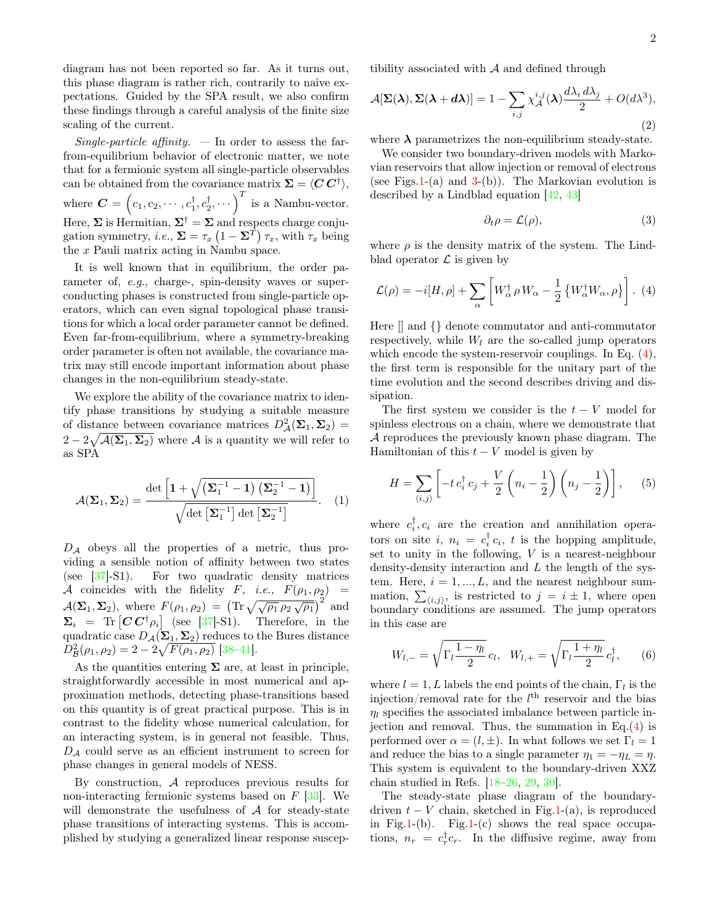diagram has not been reported so far. As it turns out, this phase diagram is rather rich, contrarily to naive expectations. Guided by the SPA result, we also confirm these findings through a careful analysis of the finite size scaling of the current.

Single-particle affinity.  $\overline{\phantom{a}}$  In order to assess the farfrom-equilibrium behavior of electronic matter, we note that for a fermionic system all single-particle observables can be obtained from the covariance matrix  $\Sigma = \langle C C^{\dagger} \rangle$ , where  $\boldsymbol{C} = \left(c_1, c_2, \cdots, c_1^{\dagger}, c_2^{\dagger}, \cdots\right)^T$  is a Nambu-vector. Here,  $\Sigma$  is Hermitian,  $\Sigma^{\dagger} = \Sigma$  and respects charge conjugation symmetry, *i.e.*,  $\Sigma = \tau_x (1 - \Sigma^T) \tau_x$ , with  $\tau_x$  being the x Pauli matrix acting in Nambu space.

It is well known that in equilibrium, the order parameter of, e.g., charge-, spin-density waves or superconducting phases is constructed from single-particle operators, which can even signal topological phase transitions for which a local order parameter cannot be defined. Even far-from-equilibrium, where a symmetry-breaking order parameter is often not available, the covariance matrix may still encode important information about phase changes in the non-equilibrium steady-state.

We explore the ability of the covariance matrix to identify phase transitions by studying a suitable measure of distance between covariance matrices  $D^2_{\mathcal{A}}(\mathbf{\Sigma}_1, \mathbf{\Sigma}_2)$  =  $2-2\sqrt{\mathcal{A}(\mathbf{\Sigma}_1,\mathbf{\Sigma}_2)}$  where  $\mathcal A$  is a quantity we will refer to as SPA

$$
\mathcal{A}(\mathbf{\Sigma}_1, \mathbf{\Sigma}_2) = \frac{\det\left[1 + \sqrt{(\mathbf{\Sigma}_1^{-1} - 1) (\mathbf{\Sigma}_2^{-1} - 1)}\right]}{\sqrt{\det\left[\mathbf{\Sigma}_1^{-1}\right] \det\left[\mathbf{\Sigma}_2^{-1}\right]}}.
$$
 (1)

 $D_A$  obeys all the properties of a metric, thus providing a sensible notion of affinity between two states (see [\[37\]](#page-5-5)-S1). For two quadratic density matrices A coincides with the fidelity F, i.e.,  $F(\rho_1, \rho_2)$  =  $\mathcal{A}(\Sigma_1, \Sigma_2)$ , where  $F(\rho_1, \rho_2) = (\text{Tr} \sqrt{\sqrt{\rho_1} \rho_2 \sqrt{\rho_1}})^2$  and  $\Sigma_i = \text{Tr} [C C^{\dagger} \rho_i]$  (see [\[37\]](#page-5-5)-S1). Therefore, in the quadratic case  $D_{\mathcal{A}}(\Sigma_1, \Sigma_2)$  reduces to the Bures distance  $D_{\mathcal{B}}^2(\rho_1, \rho_2) = 2 - 2\sqrt{F(\rho_1, \rho_2)}$  [\[38](#page-5-6)-41].

As the quantities entering  $\Sigma$  are, at least in principle, straightforwardly accessible in most numerical and approximation methods, detecting phase-transitions based on this quantity is of great practical purpose. This is in contrast to the fidelity whose numerical calculation, for an interacting system, is in general not feasible. Thus,  $D_A$  could serve as an efficient instrument to screen for phase changes in general models of NESS.

By construction, A reproduces previous results for non-interacting fermionic systems based on  $F$  [\[33\]](#page-5-8). We will demonstrate the usefulness of  $A$  for steady-state phase transitions of interacting systems. This is accomplished by studying a generalized linear response susceptibility associated with  $A$  and defined through

<span id="page-1-3"></span>
$$
\mathcal{A}[\Sigma(\lambda), \Sigma(\lambda + d\lambda)] = 1 - \sum_{i,j} \chi_{\mathcal{A}}^{i,j}(\lambda) \frac{d\lambda_i d\lambda_j}{2} + O(d\lambda^3),
$$
\n(2)

where  $\lambda$  parametrizes the non-equilibrium steady-state.

We consider two boundary-driven models with Markovian reservoirs that allow injection or removal of electrons (see Figs. 1-(a) and [3-](#page-3-0)(b)). The Markovian evolution is described by a Lindblad equation [\[42,](#page-5-9) [43\]](#page-5-10)

<span id="page-1-4"></span>
$$
\partial_t \rho = \mathcal{L}(\rho),\tag{3}
$$

where  $\rho$  is the density matrix of the system. The Lindblad operator  $\mathcal L$  is given by

<span id="page-1-0"></span>
$$
\mathcal{L}(\rho) = -i[H, \rho] + \sum_{\alpha} \left[ W_{\alpha}^{\dagger} \rho W_{\alpha} - \frac{1}{2} \left\{ W_{\alpha}^{\dagger} W_{\alpha}, \rho \right\} \right].
$$
 (4)

Here [] and {} denote commutator and anti-commutator respectively, while  $W_l$  are the so-called jump operators which encode the system-reservoir couplings. In Eq.  $(4)$ , the first term is responsible for the unitary part of the time evolution and the second describes driving and dissipation.

The first system we consider is the  $t - V$  model for spinless electrons on a chain, where we demonstrate that A reproduces the previously known phase diagram. The Hamiltonian of this  $t - V$  model is given by

<span id="page-1-1"></span>
$$
H = \sum_{\langle i,j \rangle} \left[ -t \, c_i^{\dagger} \, c_j + \frac{V}{2} \left( n_i - \frac{1}{2} \right) \left( n_j - \frac{1}{2} \right) \right],\tag{5}
$$

where  $c_i^{\dagger}, c_i$  are the creation and annihilation operators on site *i*,  $n_i = c_i^{\dagger} c_i$ , *t* is the hopping amplitude, set to unity in the following,  $V$  is a nearest-neighbour density-density interaction and  $L$  the length of the system. Here,  $i = 1, ..., L$ , and the nearest neighbour summation,  $\sum_{\langle i,j \rangle}$ , is restricted to  $j = i \pm 1$ , where open boundary conditions are assumed. The jump operators in this case are

<span id="page-1-2"></span>
$$
W_{l,-} = \sqrt{\Gamma_l \frac{1-\eta_l}{2}} c_l, \quad W_{l,+} = \sqrt{\Gamma_l \frac{1+\eta_l}{2}} c_l^{\dagger}, \quad (6)
$$

where  $l = 1, L$  labels the end points of the chain,  $\Gamma_l$  is the injection/removal rate for the  $l<sup>th</sup>$  reservoir and the bias  $\eta_l$  specifies the associated imbalance between particle injection and removal. Thus, the summation in  $Eq.(4)$  $Eq.(4)$  is performed over  $\alpha = (l, \pm)$ . In what follows we set  $\Gamma_l = 1$ and reduce the bias to a single parameter  $\eta_1 = -\eta_L = \eta$ . This system is equivalent to the boundary-driven XXZ chain studied in Refs. [\[18](#page-4-12)[–26,](#page-5-0) [29,](#page-5-11) [30\]](#page-5-12).

The steady-state phase diagram of the boundarydriven  $t - V$  chain, sketched in Fig[.1-](#page-2-0)(a), is reproduced in Fig[.1-](#page-2-0)(b). Fig.1-(c) shows the real space occupations,  $n_r = c_r^{\dagger} c_r$ . In the diffusive regime, away from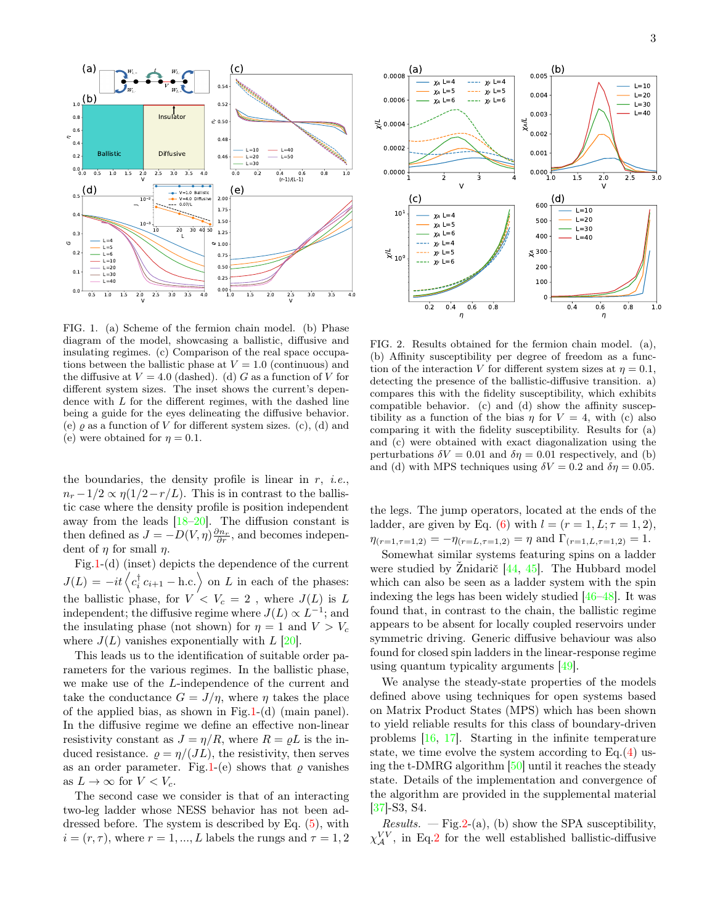

<span id="page-2-0"></span>FIG. 1. (a) Scheme of the fermion chain model. (b) Phase diagram of the model, showcasing a ballistic, diffusive and insulating regimes. (c) Comparison of the real space occupations between the ballistic phase at  $V = 1.0$  (continuous) and the diffusive at  $V = 4.0$  (dashed). (d) G as a function of V for different system sizes. The inset shows the current's dependence with  $L$  for the different regimes, with the dashed line being a guide for the eyes delineating the diffusive behavior. (e)  $\rho$  as a function of V for different system sizes. (c), (d) and (e) were obtained for  $\eta = 0.1$ .

the boundaries, the density profile is linear in  $r$ , *i.e.*,  $n_r - 1/2 \propto \eta(1/2 - r/L)$ . This is in contrast to the ballistic case where the density profile is position independent away from the leads  $[18–20]$  $[18–20]$ . The diffusion constant is then defined as  $J = -D(V, \eta) \frac{\partial n_r}{\partial r}$ , and becomes independent of  $\eta$  for small  $\eta$ .

Fig[.1-](#page-2-0)(d) (inset) depicts the dependence of the current  $J(L) = -it \langle c_i^{\dagger} c_{i+1} - \text{h.c.} \rangle$  on L in each of the phases: the ballistic phase, for  $V < V_c = 2$ , where  $J(L)$  is L independent; the diffusive regime where  $J(L) \propto L^{-1}$ ; and the insulating phase (not shown) for  $\eta = 1$  and  $V > V_c$ where  $J(L)$  vanishes exponentially with  $L$  [\[20\]](#page-5-13).

This leads us to the identification of suitable order parameters for the various regimes. In the ballistic phase, we make use of the L-independence of the current and take the conductance  $G = J/\eta$ , where  $\eta$  takes the place of the applied bias, as shown in Fig[.1-](#page-2-0)(d) (main panel). In the diffusive regime we define an effective non-linear resistivity constant as  $J = \eta/R$ , where  $R = \rho L$  is the induced resistance.  $\rho = \eta/(JL)$ , the resistivity, then serves as an order parameter. Fig[.1-](#page-2-0)(e) shows that  $\rho$  vanishes as  $L \to \infty$  for  $V < V_c$ .

The second case we consider is that of an interacting two-leg ladder whose NESS behavior has not been addressed before. The system is described by Eq. [\(5\)](#page-1-1), with  $i = (r, \tau)$ , where  $r = 1, ..., L$  labels the rungs and  $\tau = 1, 2$ 



<span id="page-2-1"></span>FIG. 2. Results obtained for the fermion chain model. (a), (b) Affinity susceptibility per degree of freedom as a function of the interaction V for different system sizes at  $\eta = 0.1$ , detecting the presence of the ballistic-diffusive transition. a) compares this with the fidelity susceptibility, which exhibits compatible behavior. (c) and (d) show the affinity susceptibility as a function of the bias  $\eta$  for  $V = 4$ , with (c) also comparing it with the fidelity susceptibility. Results for (a) and (c) were obtained with exact diagonalization using the perturbations  $\delta V = 0.01$  and  $\delta \eta = 0.01$  respectively, and (b) and (d) with MPS techniques using  $\delta V = 0.2$  and  $\delta \eta = 0.05$ .

the legs. The jump operators, located at the ends of the ladder, are given by Eq. [\(6\)](#page-1-2) with  $l = (r = 1, L; \tau = 1, 2)$ ,  $\eta_{(r=1,\tau=1,2)} = -\eta_{(r=L,\tau=1,2)} = \eta$  and  $\Gamma_{(r=1,L,\tau=1,2)} = 1$ .

Somewhat similar systems featuring spins on a ladder were studied by Žnidarič [\[44,](#page-5-14) [45\]](#page-5-15). The Hubbard model which can also be seen as a ladder system with the spin indexing the legs has been widely studied [\[46–](#page-5-16)[48\]](#page-5-17). It was found that, in contrast to the chain, the ballistic regime appears to be absent for locally coupled reservoirs under symmetric driving. Generic diffusive behaviour was also found for closed spin ladders in the linear-response regime using quantum typicality arguments [\[49\]](#page-5-18).

We analyse the steady-state properties of the models defined above using techniques for open systems based on Matrix Product States (MPS) which has been shown to yield reliable results for this class of boundary-driven problems [\[16,](#page-4-10) [17\]](#page-4-11). Starting in the infinite temperature state, we time evolve the system according to  $Eq.(4)$  $Eq.(4)$  using the t-DMRG algorithm [\[50\]](#page-5-19) until it reaches the steady state. Details of the implementation and convergence of the algorithm are provided in the supplemental material [\[37\]](#page-5-5)-S3, S4.

*Results.* — Fig.  $2-(a)$ , (b) show the SPA susceptibility,  $\chi_{\mathcal{A}}^{VV}$ , in Eq[.2](#page-1-3) for the well established ballistic-diffusive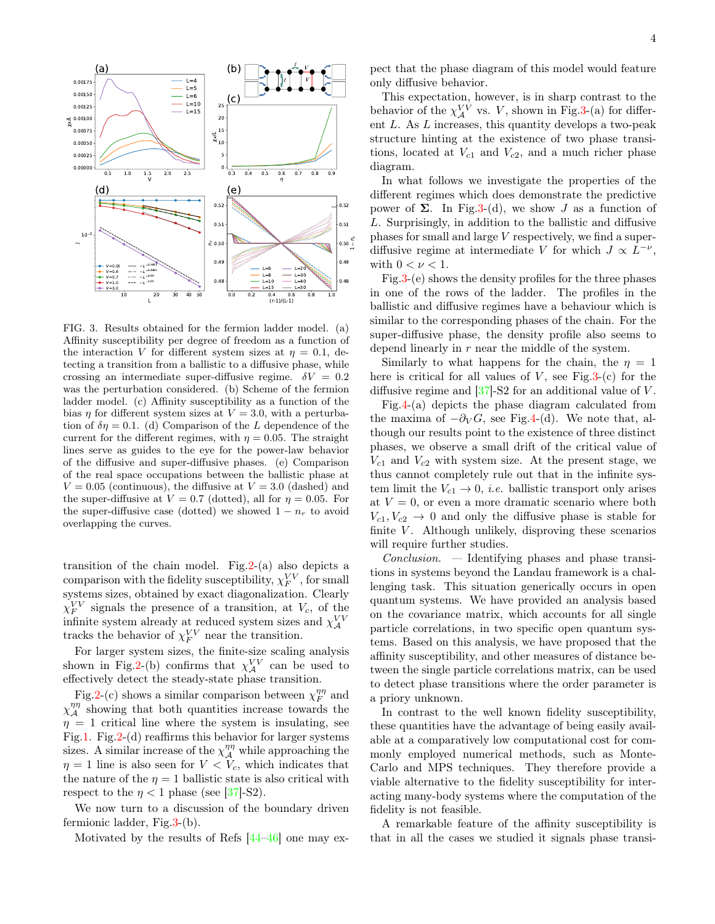

<span id="page-3-0"></span>FIG. 3. Results obtained for the fermion ladder model. (a) Affinity susceptibility per degree of freedom as a function of the interaction V for different system sizes at  $\eta = 0.1$ , detecting a transition from a ballistic to a diffusive phase, while crossing an intermediate super-diffusive regime.  $\delta V = 0.2$ was the perturbation considered. (b) Scheme of the fermion ladder model. (c) Affinity susceptibility as a function of the bias  $\eta$  for different system sizes at  $V = 3.0$ , with a perturbation of  $\delta \eta = 0.1$ . (d) Comparison of the L dependence of the current for the different regimes, with  $\eta = 0.05$ . The straight lines serve as guides to the eye for the power-law behavior of the diffusive and super-diffusive phases. (e) Comparison of the real space occupations between the ballistic phase at  $V = 0.05$  (continuous), the diffusive at  $V = 3.0$  (dashed) and the super-diffusive at  $V = 0.7$  (dotted), all for  $\eta = 0.05$ . For the super-diffusive case (dotted) we showed  $1 - n_r$  to avoid overlapping the curves.

transition of the chain model. Fig.  $2-(a)$  also depicts a comparison with the fidelity susceptibility,  $\chi_F^{VV}$ , for small systems sizes, obtained by exact diagonalization. Clearly  $\chi_F^{VV}$  signals the presence of a transition, at  $V_c$ , of the infinite system already at reduced system sizes and  $\chi_{\mathcal{A}}^{VV}$ tracks the behavior of  $\chi_F^{VV}$  near the transition.

For larger system sizes, the finite-size scaling analysis shown in Fig[.2-](#page-2-1)(b) confirms that  $\chi_{\mathcal{A}}^{VV}$  can be used to effectively detect the steady-state phase transition.

Fig[.2-](#page-2-1)(c) shows a similar comparison between  $\chi_F^{\eta\eta}$  and  $\chi_{\mathcal{A}}^{\eta\eta}$  showing that both quantities increase towards the  $\eta = 1$  critical line where the system is insulating, see Fig[.1.](#page-2-0) Fig[.2-](#page-2-1)(d) reaffirms this behavior for larger systems sizes. A similar increase of the  $\chi_{\mathcal{A}}^{\eta\eta}$  while approaching the  $\eta = 1$  line is also seen for  $V < V_c$ , which indicates that the nature of the  $\eta = 1$  ballistic state is also critical with respect to the  $\eta < 1$  phase (see [\[37\]](#page-5-5)-S2).

We now turn to a discussion of the boundary driven fermionic ladder, Fig[.3-](#page-3-0)(b).

Motivated by the results of Refs [\[44–](#page-5-14)[46\]](#page-5-16) one may ex-

pect that the phase diagram of this model would feature only diffusive behavior.

This expectation, however, is in sharp contrast to the behavior of the  $\chi_{\mathcal{A}}^{VV}$  vs. V, shown in Fig[.3-](#page-3-0)(a) for different L. As L increases, this quantity develops a two-peak structure hinting at the existence of two phase transitions, located at  $V_{c1}$  and  $V_{c2}$ , and a much richer phase diagram.

In what follows we investigate the properties of the different regimes which does demonstrate the predictive power of Σ. In Fig[.3-](#page-3-0)(d), we show J as a function of L. Surprisingly, in addition to the ballistic and diffusive phases for small and large V respectively, we find a superdiffusive regime at intermediate V for which  $J \propto L^{-\nu}$ , with  $0 < \nu < 1$ .

Fig[.3-](#page-3-0)(e) shows the density profiles for the three phases in one of the rows of the ladder. The profiles in the ballistic and diffusive regimes have a behaviour which is similar to the corresponding phases of the chain. For the super-diffusive phase, the density profile also seems to depend linearly in r near the middle of the system.

Similarly to what happens for the chain, the  $\eta = 1$ here is critical for all values of  $V$ , see Fig[.3-](#page-3-0)(c) for the diffusive regime and  $[37]$ -S2 for an additional value of V.

Fig[.4-](#page-4-13)(a) depicts the phase diagram calculated from the maxima of  $-\partial_V G$ , see Fig[.4-](#page-4-13)(d). We note that, although our results point to the existence of three distinct phases, we observe a small drift of the critical value of  $V_{c1}$  and  $V_{c2}$  with system size. At the present stage, we thus cannot completely rule out that in the infinite system limit the  $V_{c1} \rightarrow 0$ , *i.e.* ballistic transport only arises at  $V = 0$ , or even a more dramatic scenario where both  $V_{c1}, V_{c2} \rightarrow 0$  and only the diffusive phase is stable for finite  $V$ . Although unlikely, disproving these scenarios will require further studies.

Conclusion. — Identifying phases and phase transitions in systems beyond the Landau framework is a challenging task. This situation generically occurs in open quantum systems. We have provided an analysis based on the covariance matrix, which accounts for all single particle correlations, in two specific open quantum systems. Based on this analysis, we have proposed that the affinity susceptibility, and other measures of distance between the single particle correlations matrix, can be used to detect phase transitions where the order parameter is a priory unknown.

In contrast to the well known fidelity susceptibility, these quantities have the advantage of being easily available at a comparatively low computational cost for commonly employed numerical methods, such as Monte-Carlo and MPS techniques. They therefore provide a viable alternative to the fidelity susceptibility for interacting many-body systems where the computation of the fidelity is not feasible.

A remarkable feature of the affinity susceptibility is that in all the cases we studied it signals phase transi-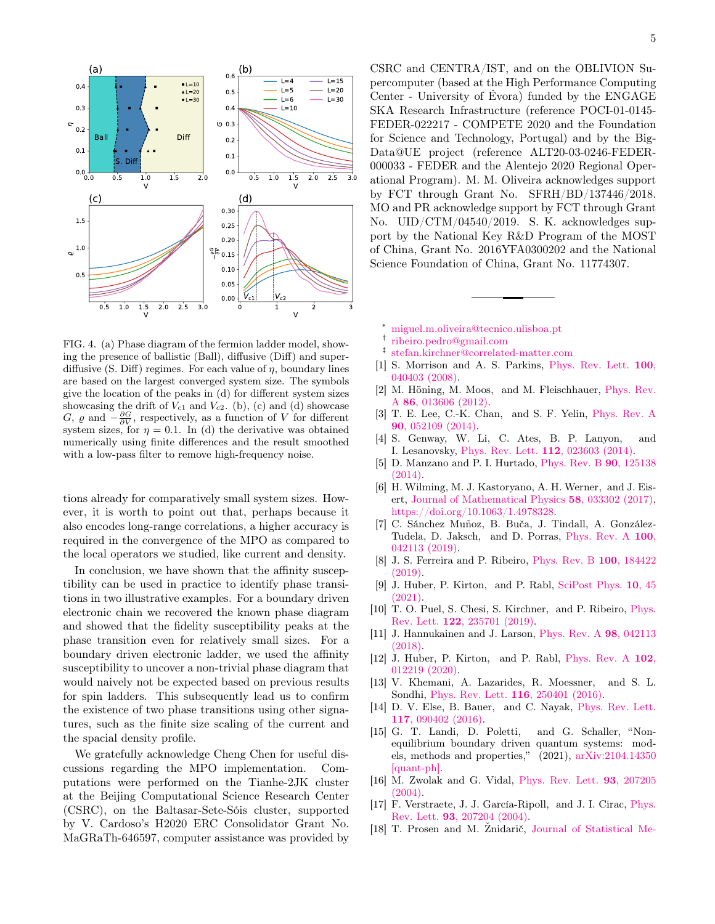

<span id="page-4-13"></span>FIG. 4. (a) Phase diagram of the fermion ladder model, showing the presence of ballistic (Ball), diffusive (Diff) and superdiffusive (S. Diff) regimes. For each value of  $\eta$ , boundary lines are based on the largest converged system size. The symbols give the location of the peaks in (d) for different system sizes showcasing the drift of  $V_{c1}$  and  $V_{c2}$ . (b), (c) and (d) showcase G,  $\varrho$  and  $-\frac{\partial G}{\partial V}$ , respectively, as a function of V for different system sizes, for  $\eta = 0.1$ . In (d) the derivative was obtained numerically using finite differences and the result smoothed with a low-pass filter to remove high-frequency noise.

tions already for comparatively small system sizes. However, it is worth to point out that, perhaps because it also encodes long-range correlations, a higher accuracy is required in the convergence of the MPO as compared to the local operators we studied, like current and density.

In conclusion, we have shown that the affinity susceptibility can be used in practice to identify phase transitions in two illustrative examples. For a boundary driven electronic chain we recovered the known phase diagram and showed that the fidelity susceptibility peaks at the phase transition even for relatively small sizes. For a boundary driven electronic ladder, we used the affinity susceptibility to uncover a non-trivial phase diagram that would naively not be expected based on previous results for spin ladders. This subsequently lead us to confirm the existence of two phase transitions using other signatures, such as the finite size scaling of the current and the spacial density profile.

We gratefully acknowledge Cheng Chen for useful discussions regarding the MPO implementation. Computations were performed on the Tianhe-2JK cluster at the Beijing Computational Science Research Center (CSRC), on the Baltasar-Sete-Sóis cluster, supported by V. Cardoso's H2020 ERC Consolidator Grant No. MaGRaTh-646597, computer assistance was provided by

CSRC and CENTRA/IST, and on the OBLIVION Supercomputer (based at the High Performance Computing Center - University of Évora) funded by the ENGAGE SKA Research Infrastructure (reference POCI-01-0145- FEDER-022217 - COMPETE 2020 and the Foundation for Science and Technology, Portugal) and by the Big-Data@UE project (reference ALT20-03-0246-FEDER-000033 - FEDER and the Alentejo 2020 Regional Operational Program). M. M. Oliveira acknowledges support by FCT through Grant No. SFRH/BD/137446/2018. MO and PR acknowledge support by FCT through Grant No. UID/CTM/04540/2019. S. K. acknowledges support by the National Key R&D Program of the MOST of China, Grant No. 2016YFA0300202 and the National Science Foundation of China, Grant No. 11774307.

- <span id="page-4-0"></span><sup>∗</sup> [miguel.m.oliveira@tecnico.ulisboa.pt](mailto:miguel.m.oliveira@tecnico.ulisboa.pt)
- <span id="page-4-1"></span>† [ribeiro.pedro@gmail.com](mailto:ribeiro.pedro@gmail.com)
- <span id="page-4-2"></span>‡ [stefan.kirchner@correlated-matter.com](mailto:stefan.kirchner@correlated-matter.com)
- <span id="page-4-3"></span>[1] S. Morrison and A. S. Parkins, [Phys. Rev. Lett.](http://dx.doi.org/10.1103/PhysRevLett.100.040403) **100**, [040403 \(2008\).](http://dx.doi.org/10.1103/PhysRevLett.100.040403)
- [2] M. Höning, M. Moos, and M. Fleischhauer, [Phys. Rev.](http://dx.doi.org/10.1103/PhysRevA.86.013606) A 86[, 013606 \(2012\).](http://dx.doi.org/10.1103/PhysRevA.86.013606)
- [3] T. E. Lee, C.-K. Chan, and S. F. Yelin, [Phys. Rev. A](http://dx.doi.org/10.1103/PhysRevA.90.052109) 90[, 052109 \(2014\).](http://dx.doi.org/10.1103/PhysRevA.90.052109)
- [4] S. Genway, W. Li, C. Ates, B. P. Lanyon, and I. Lesanovsky, [Phys. Rev. Lett.](http://dx.doi.org/ 10.1103/PhysRevLett.112.023603) 112, 023603 (2014).
- [5] D. Manzano and P. I. Hurtado, [Phys. Rev. B](http://dx.doi.org/10.1103/PhysRevB.90.125138) 90, 125138 [\(2014\).](http://dx.doi.org/10.1103/PhysRevB.90.125138)
- [6] H. Wilming, M. J. Kastoryano, A. H. Werner, and J. Eisert, [Journal of Mathematical Physics](http://dx.doi.org/10.1063/1.4978328) 58, 033302 (2017), [https://doi.org/10.1063/1.4978328.](http://arxiv.org/abs/https://doi.org/10.1063/1.4978328)
- [7] C. Sánchez Muñoz, B. Buča, J. Tindall, A. González-Tudela, D. Jaksch, and D. Porras, [Phys. Rev. A](http://dx.doi.org/10.1103/PhysRevA.100.042113) 100, [042113 \(2019\).](http://dx.doi.org/10.1103/PhysRevA.100.042113)
- [8] J. S. Ferreira and P. Ribeiro, [Phys. Rev. B](http://dx.doi.org/10.1103/PhysRevB.100.184422) 100, 184422 [\(2019\).](http://dx.doi.org/10.1103/PhysRevB.100.184422)
- <span id="page-4-4"></span>[9] J. Huber, P. Kirton, and P. Rabl, [SciPost Phys.](http://dx.doi.org/10.21468/SciPostPhys.10.2.045) 10, 45 [\(2021\).](http://dx.doi.org/10.21468/SciPostPhys.10.2.045)
- <span id="page-4-5"></span>[10] T. O. Puel, S. Chesi, S. Kirchner, and P. Ribeiro, [Phys.](http://dx.doi.org/10.1103/PhysRevLett.122.235701) Rev. Lett. 122[, 235701 \(2019\).](http://dx.doi.org/10.1103/PhysRevLett.122.235701)
- [11] J. Hannukainen and J. Larson, [Phys. Rev. A](http://dx.doi.org/10.1103/PhysRevA.98.042113) 98, 042113 [\(2018\).](http://dx.doi.org/10.1103/PhysRevA.98.042113)
- <span id="page-4-6"></span>[12] J. Huber, P. Kirton, and P. Rabl, [Phys. Rev. A](http://dx.doi.org/10.1103/PhysRevA.102.012219) 102. [012219 \(2020\).](http://dx.doi.org/10.1103/PhysRevA.102.012219)
- <span id="page-4-7"></span>[13] V. Khemani, A. Lazarides, R. Moessner, and S. L. Sondhi, [Phys. Rev. Lett.](http://dx.doi.org/10.1103/PhysRevLett.116.250401) 116, 250401 (2016).
- <span id="page-4-8"></span>[14] D. V. Else, B. Bauer, and C. Nayak, [Phys. Rev. Lett.](http://dx.doi.org/10.1103/PhysRevLett.117.090402) 117[, 090402 \(2016\).](http://dx.doi.org/10.1103/PhysRevLett.117.090402)
- <span id="page-4-9"></span>[15] G. T. Landi, D. Poletti, and G. Schaller, "Nonequilibrium boundary driven quantum systems: models, methods and properties," (2021), [arXiv:2104.14350](http://arxiv.org/abs/2104.14350) [\[quant-ph\].](http://arxiv.org/abs/2104.14350)
- <span id="page-4-10"></span>[16] M. Zwolak and G. Vidal, [Phys. Rev. Lett.](http://dx.doi.org/10.1103/PhysRevLett.93.207205) 93, 207205 [\(2004\).](http://dx.doi.org/10.1103/PhysRevLett.93.207205)
- <span id="page-4-11"></span>[17] F. Verstraete, J. J. García-Ripoll, and J. I. Cirac, [Phys.](http://dx.doi.org/10.1103/PhysRevLett.93.207204) Rev. Lett. 93[, 207204 \(2004\).](http://dx.doi.org/10.1103/PhysRevLett.93.207204)
- <span id="page-4-12"></span>[18] T. Prosen and M. Žnidarič, [Journal of Statistical Me-](http://dx.doi.org/10.1088/1742-5468/2009/02/p02035)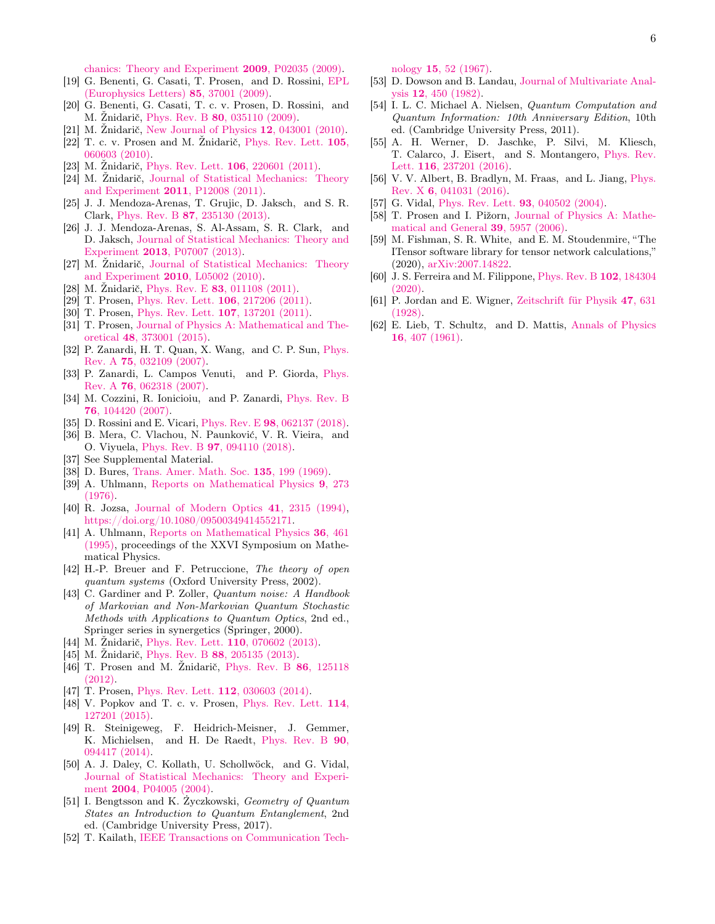[chanics: Theory and Experiment](http://dx.doi.org/10.1088/1742-5468/2009/02/p02035) 2009, P02035 (2009).

- [19] G. Benenti, G. Casati, T. Prosen, and D. Rossini, [EPL](http://dx.doi.org/ 10.1209/0295-5075/85/37001) [\(Europhysics Letters\)](http://dx.doi.org/ 10.1209/0295-5075/85/37001) 85, 37001 (2009).
- <span id="page-5-13"></span>[20] G. Benenti, G. Casati, T. c. v. Prosen, D. Rossini, and M. Žnidarič, Phys. Rev. B 80[, 035110 \(2009\).](http://dx.doi.org/ 10.1103/PhysRevB.80.035110)
- [21] M. Žnidarič, [New Journal of Physics](http://dx.doi.org/10.1088/1367-2630/12/4/043001) 12, 043001 (2010).
- [22] T. c. v. Prosen and M. Žnidarič, [Phys. Rev. Lett.](http://dx.doi.org/ 10.1103/PhysRevLett.105.060603) 105, [060603 \(2010\).](http://dx.doi.org/ 10.1103/PhysRevLett.105.060603)
- [23] M. Žnidarič, [Phys. Rev. Lett.](http://dx.doi.org/10.1103/PhysRevLett.106.220601) 106, 220601 (2011).
- [24] M. Žnidarič, [Journal of Statistical Mechanics: Theory](http://dx.doi.org/10.1088/1742-5468/2011/12/p12008) [and Experiment](http://dx.doi.org/10.1088/1742-5468/2011/12/p12008) 2011, P12008 (2011).
- [25] J. J. Mendoza-Arenas, T. Grujic, D. Jaksch, and S. R. Clark, Phys. Rev. B 87[, 235130 \(2013\).](http://dx.doi.org/10.1103/PhysRevB.87.235130)
- <span id="page-5-0"></span>[26] J. J. Mendoza-Arenas, S. Al-Assam, S. R. Clark, and D. Jaksch, [Journal of Statistical Mechanics: Theory and](http://dx.doi.org/10.1088/1742-5468/2013/07/p07007) Experiment 2013[, P07007 \(2013\).](http://dx.doi.org/10.1088/1742-5468/2013/07/p07007)
- <span id="page-5-1"></span>[27] M. Žnidarič, [Journal of Statistical Mechanics: Theory](http://dx.doi.org/10.1088/1742-5468/2010/05/l05002) [and Experiment](http://dx.doi.org/10.1088/1742-5468/2010/05/l05002) 2010, L05002 (2010).
- [28] M. Žnidarič, Phys. Rev. E 83[, 011108 \(2011\).](http://dx.doi.org/10.1103/PhysRevE.83.011108)
- <span id="page-5-11"></span>[29] T. Prosen, [Phys. Rev. Lett.](http://dx.doi.org/10.1103/PhysRevLett.106.217206) 106, 217206 (2011).
- <span id="page-5-12"></span>[30] T. Prosen, [Phys. Rev. Lett.](http://dx.doi.org/10.1103/PhysRevLett.107.137201) 107, 137201 (2011).
- <span id="page-5-2"></span>[31] T. Prosen, [Journal of Physics A: Mathematical and The](http://dx.doi.org/10.1088/1751-8113/48/37/373001)oretical 48[, 373001 \(2015\).](http://dx.doi.org/10.1088/1751-8113/48/37/373001)
- <span id="page-5-3"></span>[32] P. Zanardi, H. T. Quan, X. Wang, and C. P. Sun, [Phys.](http://dx.doi.org/ 10.1103/PhysRevA.75.032109) Rev. A 75[, 032109 \(2007\).](http://dx.doi.org/ 10.1103/PhysRevA.75.032109)
- <span id="page-5-8"></span>[33] P. Zanardi, L. Campos Venuti, and P. Giorda, [Phys.](http://dx.doi.org/10.1103/PhysRevA.76.062318) Rev. A 76[, 062318 \(2007\).](http://dx.doi.org/10.1103/PhysRevA.76.062318)
- [34] M. Cozzini, R. Ionicioiu, and P. Zanardi, [Phys. Rev. B](http://dx.doi.org/10.1103/PhysRevB.76.104420) 76[, 104420 \(2007\).](http://dx.doi.org/10.1103/PhysRevB.76.104420)
- <span id="page-5-20"></span>[35] D. Rossini and E. Vicari, Phys. Rev. E 98[, 062137 \(2018\).](http://dx.doi.org/10.1103/PhysRevE.98.062137)
- <span id="page-5-4"></span>[36] B. Mera, C. Vlachou, N. Paunković, V. R. Vieira, and O. Viyuela, Phys. Rev. B 97[, 094110 \(2018\).](http://dx.doi.org/ 10.1103/PhysRevB.97.094110)
- <span id="page-5-5"></span>[37] See Supplemental Material.
- <span id="page-5-6"></span>[38] D. Bures, [Trans. Amer. Math. Soc.](http://dx.doi.org/10.2307/1995012) **135**, 199 (1969).
- [39] A. Uhlmann, [Reports on Mathematical Physics](http://dx.doi.org/https://doi.org/10.1016/0034-4877(76)90060-4) 9, 273 [\(1976\).](http://dx.doi.org/https://doi.org/10.1016/0034-4877(76)90060-4)
- <span id="page-5-22"></span>[40] R. Jozsa, [Journal of Modern Optics](http://dx.doi.org/10.1080/09500349414552171) 41, 2315 (1994), [https://doi.org/10.1080/09500349414552171.](http://arxiv.org/abs/https://doi.org/10.1080/09500349414552171)
- <span id="page-5-7"></span>[41] A. Uhlmann, [Reports on Mathematical Physics](http://dx.doi.org/https://doi.org/10.1016/0034-4877(96)83640-8) 36, 461 [\(1995\),](http://dx.doi.org/https://doi.org/10.1016/0034-4877(96)83640-8) proceedings of the XXVI Symposium on Mathematical Physics.
- <span id="page-5-9"></span>[42] H.-P. Breuer and F. Petruccione, The theory of open quantum systems (Oxford University Press, 2002).
- <span id="page-5-10"></span>[43] C. Gardiner and P. Zoller, *Quantum noise: A Handbook* of Markovian and Non-Markovian Quantum Stochastic Methods with Applications to Quantum Optics, 2nd ed., Springer series in synergetics (Springer, 2000).
- <span id="page-5-14"></span>[44] M. Žnidarič, [Phys. Rev. Lett.](http://dx.doi.org/10.1103/PhysRevLett.110.070602) 110, 070602 (2013).
- <span id="page-5-15"></span>[45] M. Žnidarič, Phys. Rev. B 88[, 205135 \(2013\).](http://dx.doi.org/10.1103/PhysRevB.88.205135)
- <span id="page-5-16"></span>[46] T. Prosen and M. Žnidarič, [Phys. Rev. B](http://dx.doi.org/10.1103/PhysRevB.86.125118) 86, 125118 [\(2012\).](http://dx.doi.org/10.1103/PhysRevB.86.125118)
- [47] T. Prosen, [Phys. Rev. Lett.](http://dx.doi.org/10.1103/PhysRevLett.112.030603) **112**, 030603 (2014).
- <span id="page-5-17"></span>[48] V. Popkov and T. c. v. Prosen, [Phys. Rev. Lett.](http://dx.doi.org/10.1103/PhysRevLett.114.127201)  $114$ , [127201 \(2015\).](http://dx.doi.org/10.1103/PhysRevLett.114.127201)
- <span id="page-5-18"></span>[49] R. Steinigeweg, F. Heidrich-Meisner, J. Gemmer, K. Michielsen, and H. De Raedt, [Phys. Rev. B](http://dx.doi.org/10.1103/PhysRevB.90.094417) 90, [094417 \(2014\).](http://dx.doi.org/10.1103/PhysRevB.90.094417)
- <span id="page-5-19"></span>[50] A. J. Daley, C. Kollath, U. Schollwöck, and G. Vidal, [Journal of Statistical Mechanics: Theory and Experi](http://dx.doi.org/10.1088/1742-5468/2004/04/p04005)ment 2004[, P04005 \(2004\).](http://dx.doi.org/10.1088/1742-5468/2004/04/p04005)
- <span id="page-5-21"></span>[51] I. Bengtsson and K. Życzkowski, Geometry of Quantum States an Introduction to Quantum Entanglement, 2nd ed. (Cambridge University Press, 2017).
- <span id="page-5-23"></span>[52] T. Kailath, [IEEE Transactions on Communication Tech-](http://dx.doi.org/10.1109/TCOM.1967.1089532)

nology 15[, 52 \(1967\).](http://dx.doi.org/10.1109/TCOM.1967.1089532)

- <span id="page-5-24"></span>[53] D. Dowson and B. Landau, [Journal of Multivariate Anal](http://dx.doi.org/https://doi.org/10.1016/0047-259X(82)90077-X)ysis 12[, 450 \(1982\).](http://dx.doi.org/https://doi.org/10.1016/0047-259X(82)90077-X)
- <span id="page-5-25"></span>[54] I. L. C. Michael A. Nielsen, Quantum Computation and Quantum Information: 10th Anniversary Edition, 10th ed. (Cambridge University Press, 2011).
- <span id="page-5-26"></span>[55] A. H. Werner, D. Jaschke, P. Silvi, M. Kliesch, T. Calarco, J. Eisert, and S. Montangero, [Phys. Rev.](http://dx.doi.org/ 10.1103/PhysRevLett.116.237201) Lett. 116[, 237201 \(2016\).](http://dx.doi.org/ 10.1103/PhysRevLett.116.237201)
- <span id="page-5-27"></span>[56] V. V. Albert, B. Bradlyn, M. Fraas, and L. Jiang, [Phys.](http://dx.doi.org/ 10.1103/PhysRevX.6.041031) Rev. X 6[, 041031 \(2016\).](http://dx.doi.org/ 10.1103/PhysRevX.6.041031)
- <span id="page-5-28"></span>[57] G. Vidal, [Phys. Rev. Lett.](http://dx.doi.org/10.1103/PhysRevLett.93.040502) **93**, 040502 (2004).
- <span id="page-5-29"></span>[58] T. Prosen and I. Pižorn, [Journal of Physics A: Mathe](http://dx.doi.org/10.1088/0305-4470/39/20/021)[matical and General](http://dx.doi.org/10.1088/0305-4470/39/20/021) 39, 5957 (2006).
- <span id="page-5-30"></span>[59] M. Fishman, S. R. White, and E. M. Stoudenmire, "The ITensor software library for tensor network calculations," (2020), [arXiv:2007.14822.](http://arxiv.org/abs/2007.14822)
- <span id="page-5-31"></span>[60] J. S. Ferreira and M. Filippone, [Phys. Rev. B](http://dx.doi.org/10.1103/PhysRevB.102.184304) 102, 184304 [\(2020\).](http://dx.doi.org/10.1103/PhysRevB.102.184304)
- <span id="page-5-32"></span>[61] P. Jordan and E. Wigner, [Zeitschrift für Physik](http://dx.doi.org/10.1007/BF01331938) 47, 631 [\(1928\).](http://dx.doi.org/10.1007/BF01331938)
- <span id="page-5-33"></span>[62] E. Lieb, T. Schultz, and D. Mattis, [Annals of Physics](http://dx.doi.org/https://doi.org/10.1016/0003-4916(61)90115-4) 16[, 407 \(1961\).](http://dx.doi.org/https://doi.org/10.1016/0003-4916(61)90115-4)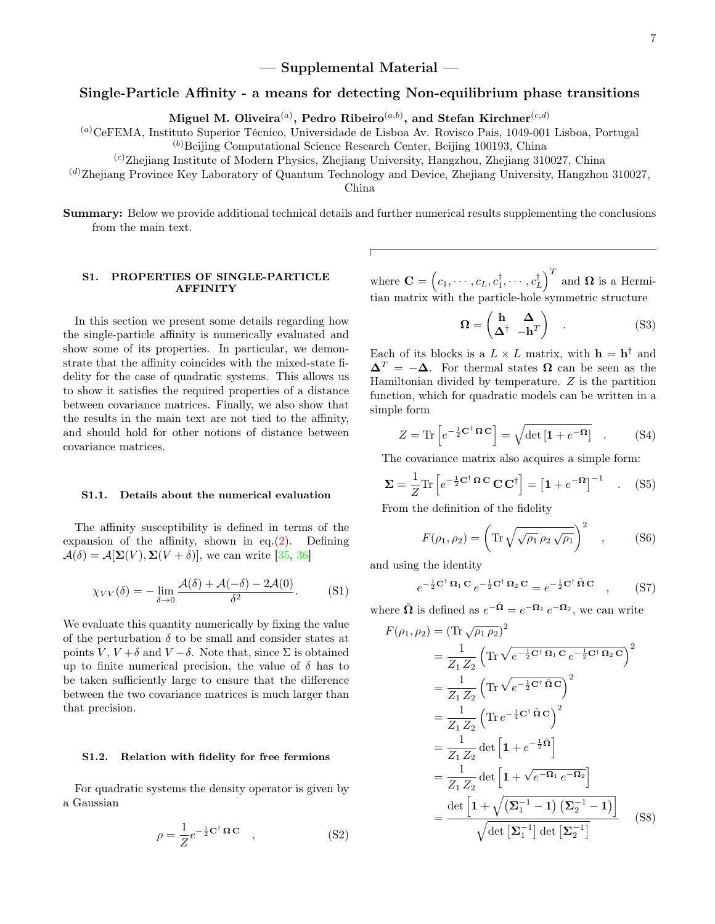# $-$  Supplemental Material  $-$

# Single-Particle Affinity - a means for detecting Non-equilibrium phase transitions

Miguel M. Oliveira $^{(a)},$  Pedro Ribeiro $^{(a,b)},$  and Stefan Kirchner $^{(c,d)}$ 

(a)CeFEMA, Instituto Superior Técnico, Universidade de Lisboa Av. Rovisco Pais, 1049-001 Lisboa, Portugal (b)Beijing Computational Science Research Center, Beijing 100193, China

 $\alpha$ <sup>(c)</sup>Zhejiang Institute of Modern Physics, Zhejiang University, Hangzhou, Zhejiang 310027, China

 $^{(d)}$ Zhejiang Province Key Laboratory of Quantum Technology and Device, Zhejiang University, Hangzhou 310027,

China

Summary: Below we provide additional technical details and further numerical results supplementing the conclusions from the main text.

## S1. PROPERTIES OF SINGLE-PARTICLE AFFINITY

In this section we present some details regarding how the single-particle affinity is numerically evaluated and show some of its properties. In particular, we demonstrate that the affinity coincides with the mixed-state fidelity for the case of quadratic systems. This allows us to show it satisfies the required properties of a distance between covariance matrices. Finally, we also show that the results in the main text are not tied to the affinity, and should hold for other notions of distance between covariance matrices.

#### S1.1. Details about the numerical evaluation

The affinity susceptibility is defined in terms of the expansion of the affinity, shown in eq. $(2)$ . Defining  $\mathcal{A}(\delta) = \mathcal{A}[\Sigma(V), \Sigma(V+\delta)],$  we can write [\[35,](#page-5-20) [36\]](#page-5-4)

$$
\chi_{VV}(\delta) = -\lim_{\delta \to 0} \frac{\mathcal{A}(\delta) + \mathcal{A}(-\delta) - 2\mathcal{A}(0)}{\delta^2}.
$$
 (S1)

We evaluate this quantity numerically by fixing the value of the perturbation  $\delta$  to be small and consider states at points V,  $V + \delta$  and  $V - \delta$ . Note that, since  $\Sigma$  is obtained up to finite numerical precision, the value of  $\delta$  has to be taken sufficiently large to ensure that the difference between the two covariance matrices is much larger than that precision.

### S1.2. Relation with fidelity for free fermions

For quadratic systems the density operator is given by a Gaussian

$$
\rho = \frac{1}{Z} e^{-\frac{1}{2} \mathbf{C}^{\dagger} \mathbf{\Omega} \mathbf{C}} \quad , \tag{S2}
$$

where  $\mathbf{C} = \left(c_1, \cdots, c_L, c_1^{\dagger}, \cdots, c_L^{\dagger}\right)^T$  and  $\mathbf{\Omega}$  is a Hermitian matrix with the particle-hole symmetric structure

$$
\Omega = \begin{pmatrix} \mathbf{h} & \mathbf{\Delta} \\ \mathbf{\Delta}^{\dagger} & -\mathbf{h}^T \end{pmatrix} . \tag{S3}
$$

Each of its blocks is a  $L \times L$  matrix, with  $\mathbf{h} = \mathbf{h}^{\dagger}$  and  $\Delta^T = -\Delta$ . For thermal states  $\Omega$  can be seen as the Hamiltonian divided by temperature.  $Z$  is the partition function, which for quadratic models can be written in a simple form

$$
Z = \text{Tr}\left[e^{-\frac{1}{2}\mathbf{C}^{\dagger}\,\mathbf{\Omega}\,\mathbf{C}}\right] = \sqrt{\det\left[\mathbf{1} + e^{-\mathbf{\Omega}}\right]} \quad . \tag{S4}
$$

The covariance matrix also acquires a simple form:

$$
\Sigma = \frac{1}{Z} \text{Tr} \left[ e^{-\frac{1}{2} \mathbf{C}^\dagger} \mathbf{\Omega} \mathbf{C} \mathbf{C}^\dagger \right] = \left[ \mathbf{1} + e^{-\mathbf{\Omega}} \right]^{-1} \quad . \quad (S5)
$$

From the definition of the fidelity

$$
F(\rho_1, \rho_2) = \left(\text{Tr}\sqrt{\sqrt{\rho_1}\,\rho_2\,\sqrt{\rho_1}}\right)^2 \quad , \quad (S6)
$$

and using the identity

$$
e^{-\frac{1}{2}\mathbf{C}^{\dagger}\,\Omega_{1}\,\mathbf{C}}\,e^{-\frac{1}{2}\mathbf{C}^{\dagger}\,\Omega_{2}\,\mathbf{C}} = e^{-\frac{1}{2}\mathbf{C}^{\dagger}\,\tilde{\Omega}\,\mathbf{C}}\quad ,\tag{S7}
$$

where  $\tilde{\Omega}$  is defined as  $e^{-\tilde{\Omega}} = e^{-\Omega_1} e^{-\Omega_2}$ , we can write

<span id="page-6-0"></span>
$$
F(\rho_1, \rho_2) = (\text{Tr }\sqrt{\rho_1 \rho_2})^2
$$
  
=  $\frac{1}{Z_1 Z_2} \left( \text{Tr }\sqrt{e^{-\frac{1}{2}C^{\dagger} \Omega_1 C} e^{-\frac{1}{2}C^{\dagger} \Omega_2 C}} \right)^2$   
=  $\frac{1}{Z_1 Z_2} \left( \text{Tr }\sqrt{e^{-\frac{1}{2}C^{\dagger} \Omega C}} \right)^2$   
=  $\frac{1}{Z_1 Z_2} \left( \text{Tr }e^{-\frac{1}{4}C^{\dagger} \Omega C} \right)^2$   
=  $\frac{1}{Z_1 Z_2} \det \left[ 1 + e^{-\frac{1}{2} \Omega} \right]$   
=  $\frac{1}{Z_1 Z_2} \det \left[ 1 + \sqrt{e^{-\Omega_1} e^{-\Omega_2}} \right]$   
=  $\frac{\det \left[ 1 + \sqrt{(\Sigma_1^{-1} - 1) (\Sigma_2^{-1} - 1)} \right]}{\sqrt{\det [\Sigma_1^{-1}] \det [\Sigma_2^{-1}]}}$  (S8)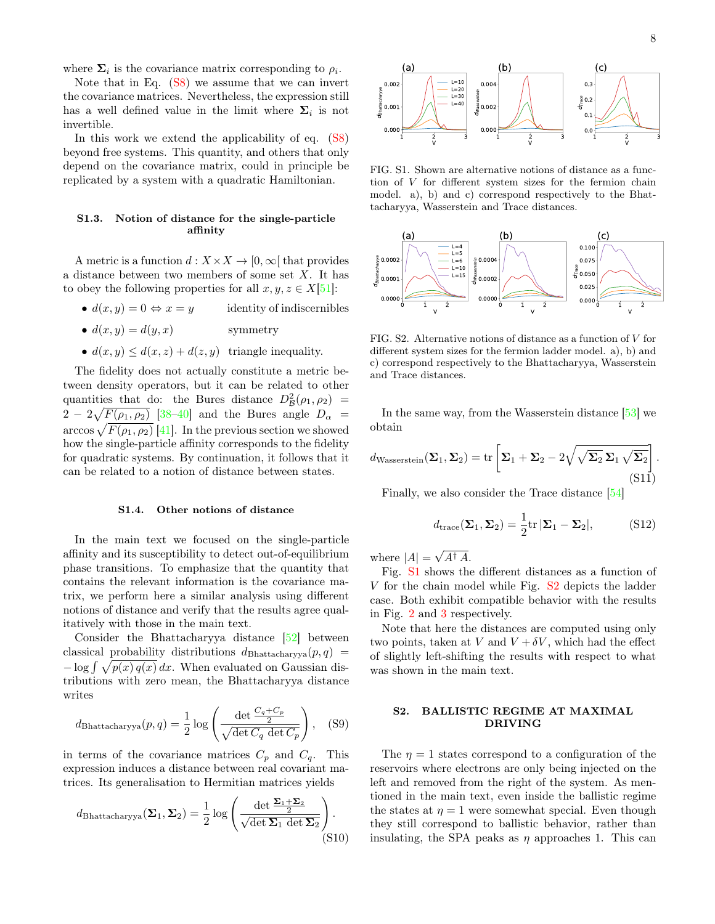where  $\Sigma_i$  is the covariance matrix corresponding to  $\rho_i$ .

Note that in Eq.  $(S8)$  we assume that we can invert the covariance matrices. Nevertheless, the expression still has a well defined value in the limit where  $\Sigma_i$  is not invertible.

In this work we extend the applicability of eq. [\(S8\)](#page-6-0) beyond free systems. This quantity, and others that only depend on the covariance matrix, could in principle be replicated by a system with a quadratic Hamiltonian.

# S1.3. Notion of distance for the single-particle affinity

A metric is a function  $d: X \times X \to [0, \infty]$  that provides a distance between two members of some set X. It has to obey the following properties for all  $x, y, z \in X[51]$  $x, y, z \in X[51]$ :

- $d(x, y) = 0 \Leftrightarrow x = y$  identity of indiscernibles
- $d(x, y) = d(y, x)$  symmetry
- $d(x, y) \leq d(x, z) + d(z, y)$  triangle inequality.

The fidelity does not actually constitute a metric between density operators, but it can be related to other quantities that do: the Bures distance  $D^2_{\mathcal{B}}(\rho_1,\rho_2)$  =  $2-2\sqrt{F(\rho_1,\rho_2)}$  [38-[40\]](#page-5-22) and the Bures angle  $D_{\alpha}$  =  $\arccos \sqrt{F(\rho_1, \rho_2)}$  [\[41\]](#page-5-7). In the previous section we showed how the single-particle affinity corresponds to the fidelity for quadratic systems. By continuation, it follows that it can be related to a notion of distance between states.

#### S1.4. Other notions of distance

In the main text we focused on the single-particle affinity and its susceptibility to detect out-of-equilibrium phase transitions. To emphasize that the quantity that contains the relevant information is the covariance matrix, we perform here a similar analysis using different notions of distance and verify that the results agree qualitatively with those in the main text.

Consider the Bhattacharyya distance [\[52\]](#page-5-23) between classical probability distributions  $d_{\text{Bhattacharyya}}(p,q) =$  $-\log \int \sqrt{p(x) q(x)} dx$ . When evaluated on Gaussian distributions with zero mean, the Bhattacharyya distance writes

$$
d_{\text{Bhattacharyya}}(p,q) = \frac{1}{2} \log \left( \frac{\det \frac{C_q + C_p}{2}}{\sqrt{\det C_q \det C_p}} \right), \quad (S9)
$$

in terms of the covariance matrices  $C_p$  and  $C_q$ . This expression induces a distance between real covariant matrices. Its generalisation to Hermitian matrices yields

$$
d_{\text{Bhattacharyya}}(\Sigma_1, \Sigma_2) = \frac{1}{2} \log \left( \frac{\det \frac{\Sigma_1 + \Sigma_2}{2}}{\sqrt{\det \Sigma_1 \det \Sigma_2}} \right).
$$
\n(S10)



FIG. S1. Shown are alternative notions of distance as a function of V for different system sizes for the fermion chain model. a), b) and c) correspond respectively to the Bhattacharyya, Wasserstein and Trace distances.



FIG. S2. Alternative notions of distance as a function of V for different system sizes for the fermion ladder model. a), b) and c) correspond respectively to the Bhattacharyya, Wasserstein and Trace distances.

In the same way, from the Wasserstein distance [\[53\]](#page-5-24) we obtain

$$
d_{\text{Wasserstein}}(\mathbf{\Sigma}_1, \mathbf{\Sigma}_2) = \text{tr}\left[\mathbf{\Sigma}_1 + \mathbf{\Sigma}_2 - 2\sqrt{\sqrt{\mathbf{\Sigma}_2}\,\mathbf{\Sigma}_1\,\sqrt{\mathbf{\Sigma}_2}}\right].
$$
\n(S11)

Finally, we also consider the Trace distance [\[54\]](#page-5-25)

$$
d_{\text{trace}}(\Sigma_1, \Sigma_2) = \frac{1}{2} \text{tr} |\Sigma_1 - \Sigma_2|, \quad (S12)
$$

where  $|A| =$ √  $A^{\dagger} A$ .

Fig. [S1](#page-2-0) shows the different distances as a function of V for the chain model while Fig. [S2](#page-2-1) depicts the ladder case. Both exhibit compatible behavior with the results in Fig. [2](#page-2-1) and [3](#page-3-0) respectively.

Note that here the distances are computed using only two points, taken at V and  $V + \delta V$ , which had the effect of slightly left-shifting the results with respect to what was shown in the main text.

# S2. BALLISTIC REGIME AT MAXIMAL DRIVING

The  $\eta = 1$  states correspond to a configuration of the reservoirs where electrons are only being injected on the left and removed from the right of the system. As mentioned in the main text, even inside the ballistic regime the states at  $\eta = 1$  were somewhat special. Even though they still correspond to ballistic behavior, rather than insulating, the SPA peaks as  $\eta$  approaches 1. This can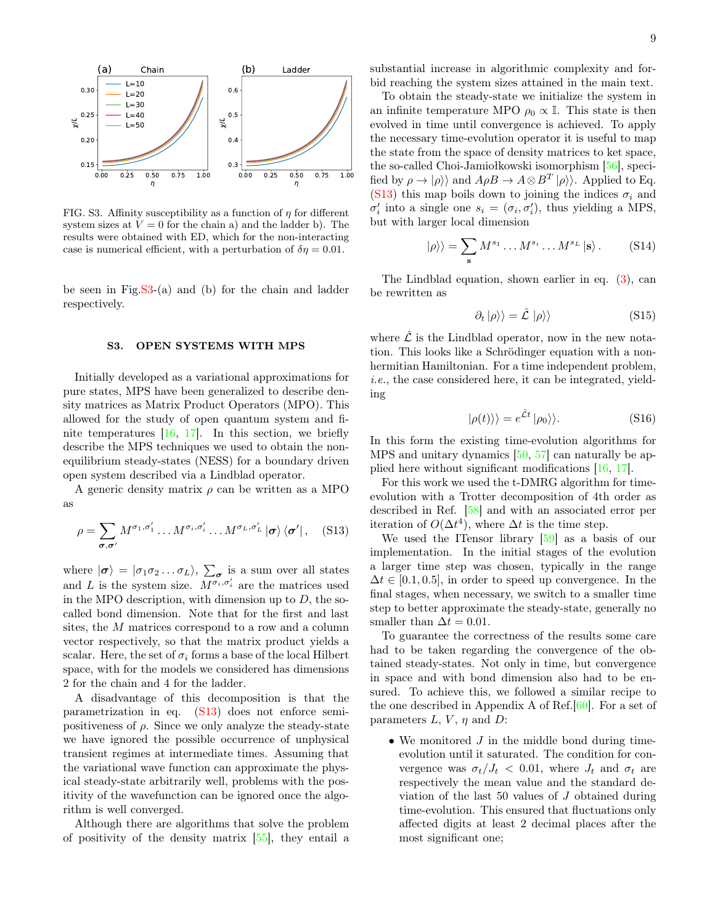

FIG. S3. Affinity susceptibility as a function of  $\eta$  for different system sizes at  $V = 0$  for the chain a) and the ladder b). The results were obtained with ED, which for the non-interacting case is numerical efficient, with a perturbation of  $\delta \eta = 0.01$ .

be seen in Fig. $S3-(a)$  and (b) for the chain and ladder respectively.

## S3. OPEN SYSTEMS WITH MPS

Initially developed as a variational approximations for pure states, MPS have been generalized to describe density matrices as Matrix Product Operators (MPO). This allowed for the study of open quantum system and finite temperatures  $[16, 17]$  $[16, 17]$  $[16, 17]$ . In this section, we briefly describe the MPS techniques we used to obtain the nonequilibrium steady-states (NESS) for a boundary driven open system described via a Lindblad operator.

A generic density matrix  $\rho$  can be written as a MPO as

<span id="page-8-0"></span>
$$
\rho = \sum_{\sigma,\sigma'} M^{\sigma_1,\sigma'_1} \dots M^{\sigma_i,\sigma'_i} \dots M^{\sigma_L,\sigma'_L} |\sigma\rangle \langle \sigma'| \,, \quad \text{(S13)}
$$

where  $|\sigma\rangle = |\sigma_1 \sigma_2 ... \sigma_L\rangle$ ,  $\sum_{\sigma}$  is a sum over all states and L is the system size.  $\overline{M^{\sigma_i,\sigma'_i}}$  are the matrices used in the MPO description, with dimension up to  $D$ , the socalled bond dimension. Note that for the first and last sites, the M matrices correspond to a row and a column vector respectively, so that the matrix product yields a scalar. Here, the set of  $\sigma_i$  forms a base of the local Hilbert space, with for the models we considered has dimensions 2 for the chain and 4 for the ladder.

A disadvantage of this decomposition is that the parametrization in eq. [\(S13\)](#page-8-0) does not enforce semipositiveness of  $\rho$ . Since we only analyze the steady-state we have ignored the possible occurrence of unphysical transient regimes at intermediate times. Assuming that the variational wave function can approximate the physical steady-state arbitrarily well, problems with the positivity of the wavefunction can be ignored once the algorithm is well converged.

Although there are algorithms that solve the problem of positivity of the density matrix [\[55\]](#page-5-26), they entail a substantial increase in algorithmic complexity and forbid reaching the system sizes attained in the main text.

To obtain the steady-state we initialize the system in an infinite temperature MPO  $\rho_0 \propto \mathbb{I}$ . This state is then evolved in time until convergence is achieved. To apply the necessary time-evolution operator it is useful to map the state from the space of density matrices to ket space, the so-called Choi-Jamiołkowski isomorphism [\[56\]](#page-5-27), specified by  $\rho \to |\rho\rangle\rangle$  and  $A\rho B \to A\otimes B^T |\rho\rangle\rangle$ . Applied to Eq. [\(S13\)](#page-8-0) this map boils down to joining the indices  $\sigma_i$  and  $\sigma'_{i}$  into a single one  $s_{i} = (\sigma_{i}, \sigma'_{i})$ , thus yielding a MPS, but with larger local dimension

$$
|\rho\rangle\rangle = \sum_{\mathbf{s}} M^{s_1} \dots M^{s_i} \dots M^{s_L} |\mathbf{s}\rangle. \tag{S14}
$$

The Lindblad equation, shown earlier in eq. [\(3\)](#page-1-4), can be rewritten as

$$
\partial_t |\rho\rangle\rangle = \hat{\mathcal{L}} |\rho\rangle\rangle \tag{S15}
$$

where  $\hat{\mathcal{L}}$  is the Lindblad operator, now in the new notation. This looks like a Schrödinger equation with a nonhermitian Hamiltonian. For a time independent problem, i.e., the case considered here, it can be integrated, yielding

$$
|\rho(t)\rangle\rangle = e^{\hat{\mathcal{L}}t} |\rho_0\rangle\rangle. \tag{S16}
$$

In this form the existing time-evolution algorithms for MPS and unitary dynamics [\[50,](#page-5-19) [57\]](#page-5-28) can naturally be applied here without significant modifications [\[16,](#page-4-10) [17\]](#page-4-11).

For this work we used the t-DMRG algorithm for timeevolution with a Trotter decomposition of 4th order as described in Ref. [\[58\]](#page-5-29) and with an associated error per iteration of  $O(\Delta t^4)$ , where  $\Delta t$  is the time step.

We used the ITensor library [\[59\]](#page-5-30) as a basis of our implementation. In the initial stages of the evolution a larger time step was chosen, typically in the range  $\Delta t \in [0.1, 0.5]$ , in order to speed up convergence. In the final stages, when necessary, we switch to a smaller time step to better approximate the steady-state, generally no smaller than  $\Delta t = 0.01$ .

To guarantee the correctness of the results some care had to be taken regarding the convergence of the obtained steady-states. Not only in time, but convergence in space and with bond dimension also had to be ensured. To achieve this, we followed a similar recipe to the one described in Appendix A of Ref.[\[60\]](#page-5-31). For a set of parameters  $L, V, \eta$  and  $D$ :

• We monitored  $J$  in the middle bond during timeevolution until it saturated. The condition for convergence was  $\sigma_t/J_t$  < 0.01, where  $J_t$  and  $\sigma_t$  are respectively the mean value and the standard deviation of the last 50 values of J obtained during time-evolution. This ensured that fluctuations only affected digits at least 2 decimal places after the most significant one;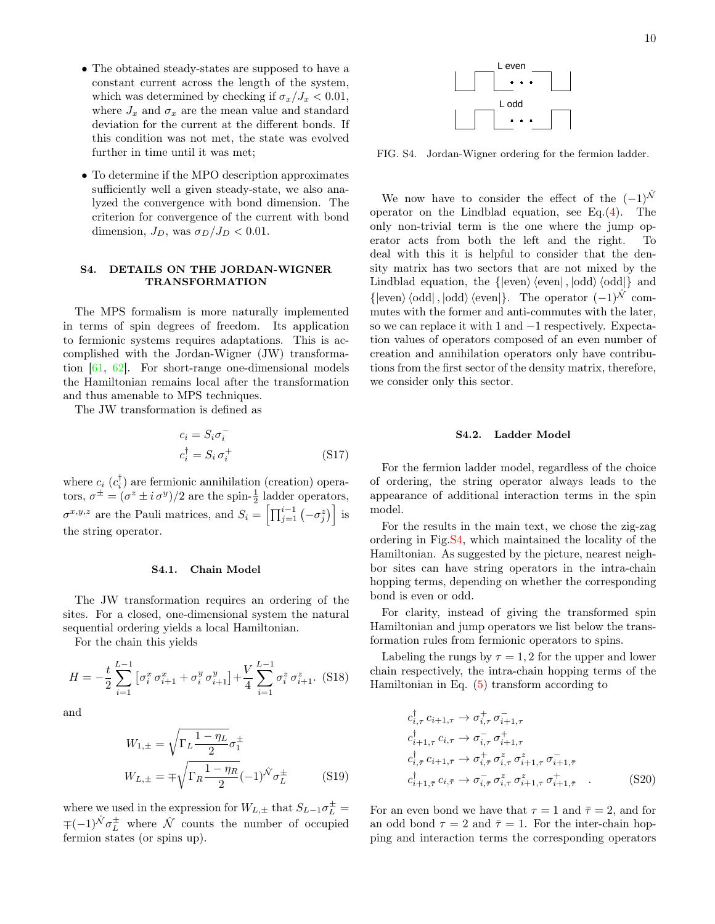- The obtained steady-states are supposed to have a constant current across the length of the system, which was determined by checking if  $\sigma_x/J_x < 0.01$ , where  $J_x$  and  $\sigma_x$  are the mean value and standard deviation for the current at the different bonds. If this condition was not met, the state was evolved further in time until it was met;
- To determine if the MPO description approximates sufficiently well a given steady-state, we also analyzed the convergence with bond dimension. The criterion for convergence of the current with bond dimension,  $J_D$ , was  $\sigma_D/J_D < 0.01$ .

# S4. DETAILS ON THE JORDAN-WIGNER TRANSFORMATION

The MPS formalism is more naturally implemented in terms of spin degrees of freedom. Its application to fermionic systems requires adaptations. This is accomplished with the Jordan-Wigner (JW) transformation [\[61,](#page-5-32) [62\]](#page-5-33). For short-range one-dimensional models the Hamiltonian remains local after the transformation and thus amenable to MPS techniques.

The JW transformation is defined as

$$
c_i = S_i \sigma_i^-
$$
  
\n
$$
c_i^{\dagger} = S_i \sigma_i^+
$$
\n(S17)

where  $c_i$   $(c_i^{\dagger})$  are fermionic annihilation (creation) operators,  $\sigma^{\pm} = (\sigma^z \pm i \sigma^y)/2$  are the spin- $\frac{1}{2}$  ladder operators,  $\sigma^{x,y,z}$  are the Pauli matrices, and  $S_i = \left[ \prod_{j=1}^{i-1} \left( -\sigma_j^z \right) \right]$  is the string operator.

### S4.1. Chain Model

The JW transformation requires an ordering of the sites. For a closed, one-dimensional system the natural sequential ordering yields a local Hamiltonian.

For the chain this yields

$$
H = -\frac{t}{2} \sum_{i=1}^{L-1} \left[ \sigma_i^x \sigma_{i+1}^x + \sigma_i^y \sigma_{i+1}^y \right] + \frac{V}{4} \sum_{i=1}^{L-1} \sigma_i^z \sigma_{i+1}^z. \tag{S18}
$$

and

$$
W_{1,\pm} = \sqrt{\Gamma_L \frac{1 - \eta_L}{2}} \sigma_1^{\pm}
$$
  

$$
W_{L,\pm} = \mp \sqrt{\Gamma_R \frac{1 - \eta_R}{2}} (-1)^{\hat{N}} \sigma_L^{\pm}
$$
 (S19)

where we used in the expression for  $W_{L,\pm}$  that  $S_{L-1}\sigma_{L}^{\pm}$  =  $\mp(-1)^{\hat{\mathcal{N}}}\sigma_L^{\pm}$  where  $\hat{\mathcal{N}}$  counts the number of occupied fermion states (or spins up).



FIG. S4. Jordan-Wigner ordering for the fermion ladder.

We now have to consider the effect of the  $(-1)^{\hat{\mathcal{N}}}$ operator on the Lindblad equation, see Eq. $(4)$ . The only non-trivial term is the one where the jump operator acts from both the left and the right. To deal with this it is helpful to consider that the density matrix has two sectors that are not mixed by the Lindblad equation, the  $\{|\text{even}\rangle \langle \text{even}|, |\text{odd}\rangle \langle \text{odd}| \}$  and  $\{\ket{\text{even}}\langle \text{odd} |, |\text{odd}\rangle \langle \text{even} | \}.$  The operator  $(-1)^{\hat{\mathcal{N}}}$  commutes with the former and anti-commutes with the later, so we can replace it with 1 and −1 respectively. Expectation values of operators composed of an even number of creation and annihilation operators only have contributions from the first sector of the density matrix, therefore, we consider only this sector.

### S4.2. Ladder Model

For the fermion ladder model, regardless of the choice of ordering, the string operator always leads to the appearance of additional interaction terms in the spin model.

For the results in the main text, we chose the zig-zag ordering in Fig[.S4,](#page-4-13) which maintained the locality of the Hamiltonian. As suggested by the picture, nearest neighbor sites can have string operators in the intra-chain hopping terms, depending on whether the corresponding bond is even or odd.

For clarity, instead of giving the transformed spin Hamiltonian and jump operators we list below the transformation rules from fermionic operators to spins.

Labeling the rungs by  $\tau = 1, 2$  for the upper and lower chain respectively, the intra-chain hopping terms of the Hamiltonian in Eq. [\(5\)](#page-1-1) transform according to

$$
c_{i,\tau}^{\dagger} c_{i+1,\tau} \to \sigma_{i,\tau}^{+} \sigma_{i+1,\tau}^{-}
$$
  
\n
$$
c_{i+1,\tau}^{\dagger} c_{i,\tau} \to \sigma_{i,\tau}^{-} \sigma_{i+1,\tau}^{+}
$$
  
\n
$$
c_{i,\bar{\tau}}^{\dagger} c_{i+1,\bar{\tau}} \to \sigma_{i,\bar{\tau}}^{+} \sigma_{i,\tau}^{z} \sigma_{i+1,\tau}^{z} \sigma_{i+1,\bar{\tau}}^{-}
$$
  
\n
$$
c_{i+1,\bar{\tau}}^{\dagger} c_{i,\bar{\tau}} \to \sigma_{i,\bar{\tau}}^{-} \sigma_{i,\tau}^{z} \sigma_{i+1,\tau}^{z} \sigma_{i+1,\bar{\tau}}^{+} .
$$
 (S20)

For an even bond we have that  $\tau = 1$  and  $\bar{\tau} = 2$ , and for an odd bond  $\tau = 2$  and  $\bar{\tau} = 1$ . For the inter-chain hopping and interaction terms the corresponding operators